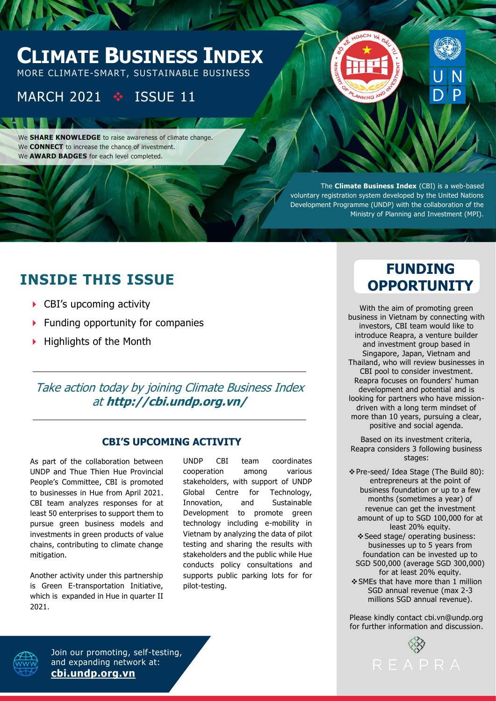# **CLIMATE BUSINESS INDEX**

MORE CLIMATE-SMART, SUSTAINABLE BUSINESS

## MARCH 2021 ❖ ISSUE 11

We **SHARE KNOWLEDGE** to raise awareness of climate change. We **CONNECT** to increase the chance of investment. We **AWARD BADGES** for each level completed.

> The **Climate Business Index** (CBI) is a web-based voluntary registration system developed by the United Nations Development Programme (UNDP) with the collaboration of the Ministry of Planning and Investment (MPI).

## **INSIDE THIS ISSUE**

- ▶ CBI's upcoming activity
- $\blacktriangleright$  Funding opportunity for companies
- $\blacktriangleright$  Highlights of the Month

### Take action today by joining Climate Business Index at **http://cbi.undp.org.vn/**

### **CBI'S UPCOMING ACTIVITY**

As part of the collaboration between UNDP and Thue Thien Hue Provincial People's Committee, CBI is promoted to businesses in Hue from April 2021. CBI team analyzes responses for at least 50 enterprises to support them to pursue green business models and investments in green products of value chains, contributing to climate change mitigation.

Another activity under this partnership is Green E-transportation Initiative, which is expanded in Hue in quarter II 2021.

UNDP CBI team coordinates cooperation among various stakeholders, with support of UNDP Global Centre for Technology, Innovation, and Sustainable Development to promote green technology including e-mobility in Vietnam by analyzing the data of pilot testing and sharing the results with stakeholders and the public while Hue conducts policy consultations and supports public parking lots for for pilot-testing.

## **FUNDING OPPORTUNITY**

With the aim of promoting green business in Vietnam by connecting with investors, CBI team would like to introduce Reapra, a venture builder and investment group based in Singapore, Japan, Vietnam and Thailand, who will review businesses in CBI pool to consider investment. Reapra focuses on founders' human development and potential and is looking for partners who have missiondriven with a long term mindset of more than 10 years, pursuing a clear, positive and social agenda.

Based on its investment criteria, Reapra considers 3 following business stages:

❖Pre-seed/ Idea Stage (The Build 80): entrepreneurs at the point of business foundation or up to a few months (sometimes a year) of revenue can get the investment amount of up to SGD 100,000 for at least 20% equity. ❖Seed stage/ operating business: businesses up to 5 years from foundation can be invested up to SGD 500,000 (average SGD 300,000) for at least 20% equity. ❖SMEs that have more than 1 million SGD annual revenue (max 2-3 millions SGD annual revenue).

Please kindly contact cbi.vn@undp.org for further information and discussion.





Join our promoting, self-testing, and expanding network at: **[cbi.undp.org.vn](http://cbi.undp.org.vn/)**